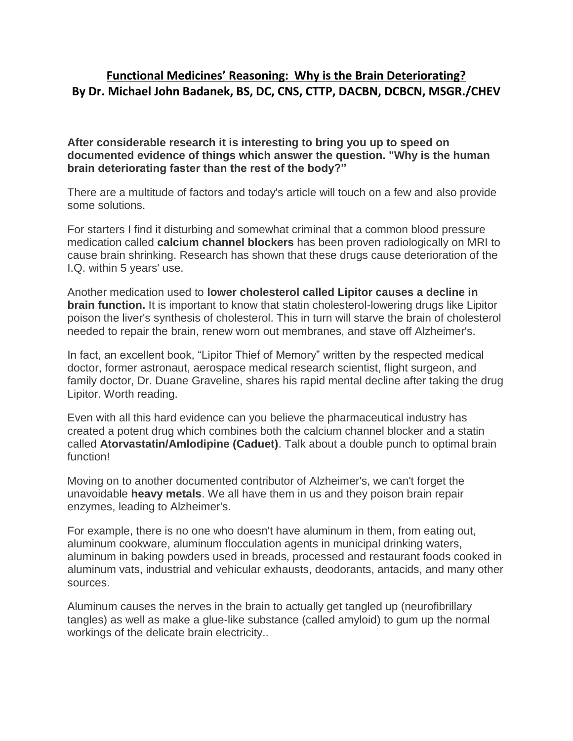## **Functional Medicines' Reasoning: Why is the Brain Deteriorating? By Dr. Michael John Badanek, BS, DC, CNS, CTTP, DACBN, DCBCN, MSGR./CHEV**

**After considerable research it is interesting to bring you up to speed on documented evidence of things which answer the question. "Why is the human brain deteriorating faster than the rest of the body?"**

There are a multitude of factors and today's article will touch on a few and also provide some solutions.

For starters I find it disturbing and somewhat criminal that a common blood pressure medication called **calcium channel blockers** has been proven radiologically on MRI to cause brain shrinking. Research has shown that these drugs cause deterioration of the I.Q. within 5 years' use.

Another medication used to **lower cholesterol called Lipitor causes a decline in brain function.** It is important to know that statin cholesterol-lowering drugs like Lipitor poison the liver's synthesis of cholesterol. This in turn will starve the brain of cholesterol needed to repair the brain, renew worn out membranes, and stave off Alzheimer's.

In fact, an excellent book, "Lipitor Thief of Memory" written by the respected medical doctor, former astronaut, aerospace medical research scientist, flight surgeon, and family doctor, Dr. Duane Graveline, shares his rapid mental decline after taking the drug Lipitor. Worth reading.

Even with all this hard evidence can you believe the pharmaceutical industry has created a potent drug which combines both the calcium channel blocker and a statin called **Atorvastatin/Amlodipine (Caduet)**. Talk about a double punch to optimal brain function!

Moving on to another documented contributor of Alzheimer's, we can't forget the unavoidable **heavy metals**. We all have them in us and they poison brain repair enzymes, leading to Alzheimer's.

For example, there is no one who doesn't have aluminum in them, from eating out, aluminum cookware, aluminum flocculation agents in municipal drinking waters, aluminum in baking powders used in breads, processed and restaurant foods cooked in aluminum vats, industrial and vehicular exhausts, deodorants, antacids, and many other sources.

Aluminum causes the nerves in the brain to actually get tangled up (neurofibrillary tangles) as well as make a glue-like substance (called amyloid) to gum up the normal workings of the delicate brain electricity..